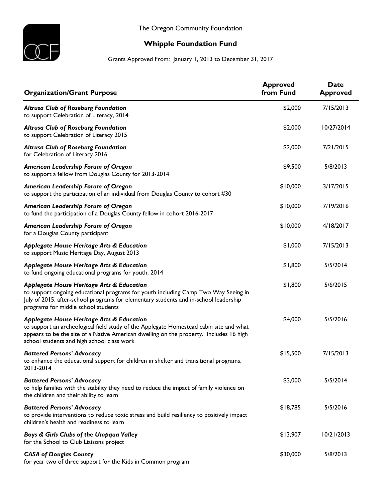

## **Whipple Foundation Fund**

Grants Approved From: January 1, 2013 to December 31, 2017

| <b>Organization/Grant Purpose</b>                                                                                                                                                                                                                                           | <b>Approved</b><br>from Fund | <b>Date</b><br><b>Approved</b> |
|-----------------------------------------------------------------------------------------------------------------------------------------------------------------------------------------------------------------------------------------------------------------------------|------------------------------|--------------------------------|
| <b>Altrusa Club of Roseburg Foundation</b><br>to support Celebration of Literacy, 2014                                                                                                                                                                                      | \$2,000                      | 7/15/2013                      |
| <b>Altrusa Club of Roseburg Foundation</b><br>to support Celebration of Literacy 2015                                                                                                                                                                                       | \$2,000                      | 10/27/2014                     |
| <b>Altrusa Club of Roseburg Foundation</b><br>for Celebration of Literacy 2016                                                                                                                                                                                              | \$2,000                      | 7/21/2015                      |
| American Leadership Forum of Oregon<br>to support a fellow from Douglas County for 2013-2014                                                                                                                                                                                | \$9,500                      | 5/8/2013                       |
| American Leadership Forum of Oregon<br>to support the participation of an individual from Douglas County to cohort #30                                                                                                                                                      | \$10,000                     | 3/17/2015                      |
| American Leadership Forum of Oregon<br>to fund the participation of a Douglas County fellow in cohort 2016-2017                                                                                                                                                             | \$10,000                     | 7/19/2016                      |
| American Leadership Forum of Oregon<br>for a Douglas County participant                                                                                                                                                                                                     | \$10,000                     | 4/18/2017                      |
| Applegate House Heritage Arts & Education<br>to support Music Heritage Day, August 2013                                                                                                                                                                                     | \$1,000                      | 7/15/2013                      |
| Applegate House Heritage Arts & Education<br>to fund ongoing educational programs for youth, 2014                                                                                                                                                                           | \$1,800                      | 5/5/2014                       |
| Applegate House Heritage Arts & Education<br>to support ongoing educational programs for youth including Camp Two Way Seeing in<br>July of 2015, after-school programs for elementary students and in-school leadership<br>programs for middle school students              | \$1,800                      | 5/6/2015                       |
| Applegate House Heritage Arts & Education<br>to support an archeological field study of the Applegate Homestead cabin site and what<br>appears to be the site of a Native American dwelling on the property. Includes 16 high<br>school students and high school class work | \$4,000                      | 5/5/2016                       |
| <b>Battered Persons' Advocacy</b><br>to enhance the educational support for children in shelter and transitional programs,<br>2013-2014                                                                                                                                     | \$15,500                     | 7/15/2013                      |
| <b>Battered Persons' Advocacy</b><br>to help families with the stability they need to reduce the impact of family violence on<br>the children and their ability to learn                                                                                                    | \$3,000                      | 5/5/2014                       |
| <b>Battered Persons' Advocacy</b><br>to provide interventions to reduce toxic stress and build resiliency to positively impact<br>children's health and readiness to learn                                                                                                  | \$18,785                     | 5/5/2016                       |
| Boys & Girls Clubs of the Umpqua Valley<br>for the School to Club Liaisons project                                                                                                                                                                                          | \$13,907                     | 10/21/2013                     |
| <b>CASA of Douglas County</b><br>for year two of three support for the Kids in Common program                                                                                                                                                                               | \$30,000                     | 5/8/2013                       |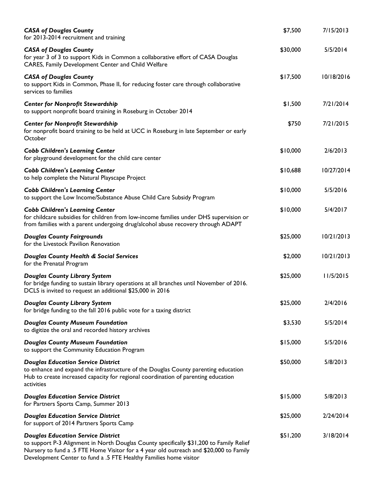| <b>CASA of Douglas County</b><br>for 2013-2014 recruitment and training                                                                                                                                                                                                                             | \$7,500  | 7/15/2013  |
|-----------------------------------------------------------------------------------------------------------------------------------------------------------------------------------------------------------------------------------------------------------------------------------------------------|----------|------------|
| <b>CASA of Douglas County</b><br>for year 3 of 3 to support Kids in Common a collaborative effort of CASA Douglas<br>CARES, Family Development Center and Child Welfare                                                                                                                             | \$30,000 | 5/5/2014   |
| <b>CASA of Douglas County</b><br>to support Kids in Common, Phase II, for reducing foster care through collaborative<br>services to families                                                                                                                                                        | \$17,500 | 10/18/2016 |
| <b>Center for Nonprofit Stewardship</b><br>to support nonprofit board training in Roseburg in October 2014                                                                                                                                                                                          | \$1,500  | 7/21/2014  |
| Center for Nonprofit Stewardship<br>for nonprofit board training to be held at UCC in Roseburg in late September or early<br>October                                                                                                                                                                | \$750    | 7/21/2015  |
| <b>Cobb Children's Learning Center</b><br>for playground development for the child care center                                                                                                                                                                                                      | \$10,000 | 2/6/2013   |
| <b>Cobb Children's Learning Center</b><br>to help complete the Natural Playscape Project                                                                                                                                                                                                            | \$10,688 | 10/27/2014 |
| <b>Cobb Children's Learning Center</b><br>to support the Low Income/Substance Abuse Child Care Subsidy Program                                                                                                                                                                                      | \$10,000 | 5/5/2016   |
| <b>Cobb Children's Learning Center</b><br>for childcare subsidies for children from low-income families under DHS supervision or<br>from families with a parent undergoing drug/alcohol abuse recovery through ADAPT                                                                                | \$10,000 | 5/4/2017   |
| <b>Douglas County Fairgrounds</b><br>for the Livestock Pavilion Renovation                                                                                                                                                                                                                          | \$25,000 | 10/21/2013 |
| <b>Douglas County Health &amp; Social Services</b><br>for the Prenatal Program                                                                                                                                                                                                                      | \$2,000  | 10/21/2013 |
| <b>Douglas County Library System</b><br>for bridge funding to sustain library operations at all branches until November of 2016.<br>DCLS is invited to request an additional \$25,000 in 2016                                                                                                       | \$25,000 | 11/5/2015  |
| <b>Douglas County Library System</b><br>for bridge funding to the fall 2016 public vote for a taxing district                                                                                                                                                                                       | \$25,000 | 2/4/2016   |
| <b>Douglas County Museum Foundation</b><br>to digitize the oral and recorded history archives                                                                                                                                                                                                       | \$3,530  | 5/5/2014   |
| <b>Douglas County Museum Foundation</b><br>to support the Community Education Program                                                                                                                                                                                                               | \$15,000 | 5/5/2016   |
| <b>Douglas Education Service District</b><br>to enhance and expand the infrastructure of the Douglas County parenting education<br>Hub to create increased capacity for regional coordination of parenting education<br>activities                                                                  | \$50,000 | 5/8/2013   |
| <b>Douglas Education Service District</b><br>for Partners Sports Camp, Summer 2013                                                                                                                                                                                                                  | \$15,000 | 5/8/2013   |
| <b>Douglas Education Service District</b><br>for support of 2014 Partners Sports Camp                                                                                                                                                                                                               | \$25,000 | 2/24/2014  |
| <b>Douglas Education Service District</b><br>to support P-3 Alignment in North Douglas County specifically \$31,200 to Family Relief<br>Nursery to fund a .5 FTE Home Visitor for a 4 year old outreach and \$20,000 to Family<br>Development Center to fund a .5 FTE Healthy Families home visitor | \$51,200 | 3/18/2014  |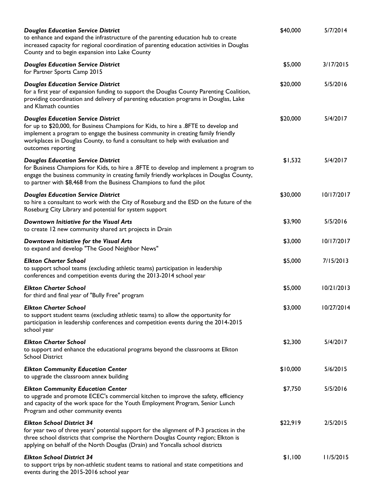| <b>Douglas Education Service District</b><br>to enhance and expand the infrastructure of the parenting education hub to create<br>increased capacity for regional coordination of parenting education activities in Douglas<br>County and to begin expansion into Lake County                                                | \$40,000 | 5/7/2014   |
|------------------------------------------------------------------------------------------------------------------------------------------------------------------------------------------------------------------------------------------------------------------------------------------------------------------------------|----------|------------|
| <b>Douglas Education Service District</b><br>for Partner Sports Camp 2015                                                                                                                                                                                                                                                    | \$5,000  | 3/17/2015  |
| <b>Douglas Education Service District</b><br>for a first year of expansion funding to support the Douglas County Parenting Coalition,<br>providing coordination and delivery of parenting education programs in Douglas, Lake<br>and Klamath counties                                                                        | \$20,000 | 5/5/2016   |
| <b>Douglas Education Service District</b><br>for up to \$20,000, for Business Champions for Kids, to hire a .8FTE to develop and<br>implement a program to engage the business community in creating family friendly<br>workplaces in Douglas County, to fund a consultant to help with evaluation and<br>outcomes reporting | \$20,000 | 5/4/2017   |
| <b>Douglas Education Service District</b><br>for Business Champions for Kids, to hire a .8FTE to develop and implement a program to<br>engage the business community in creating family friendly workplaces in Douglas County,<br>to partner with \$8,468 from the Business Champions to fund the pilot                      | \$1,532  | 5/4/2017   |
| <b>Douglas Education Service District</b><br>to hire a consultant to work with the City of Roseburg and the ESD on the future of the<br>Roseburg City Library and potential for system support                                                                                                                               | \$30,000 | 10/17/2017 |
| Downtown Initiative for the Visual Arts<br>to create 12 new community shared art projects in Drain                                                                                                                                                                                                                           | \$3,900  | 5/5/2016   |
| Downtown Initiative for the Visual Arts<br>to expand and develop "The Good Neighbor News"                                                                                                                                                                                                                                    | \$3,000  | 10/17/2017 |
| <b>Elkton Charter School</b><br>to support school teams (excluding athletic teams) participation in leadership<br>conferences and competition events during the 2013-2014 school year                                                                                                                                        | \$5,000  | 7/15/2013  |
| <b>Elkton Charter School</b><br>for third and final year of "Bully Free" program                                                                                                                                                                                                                                             | \$5,000  | 10/21/2013 |
| Elkton Charter School<br>to support student teams (excluding athletic teams) to allow the opportunity for<br>participation in leadership conferences and competition events during the 2014-2015<br>school year                                                                                                              | \$3,000  | 10/27/2014 |
| <b>Elkton Charter School</b><br>to support and enhance the educational programs beyond the classrooms at Elkton<br><b>School District</b>                                                                                                                                                                                    | \$2,300  | 5/4/2017   |
| <b>Elkton Community Education Center</b><br>to upgrade the classroom annex building                                                                                                                                                                                                                                          | \$10,000 | 5/6/2015   |
| <b>Elkton Community Education Center</b><br>to upgrade and promote ECEC's commercial kitchen to improve the safety, efficiency<br>and capacity of the work space for the Youth Employment Program, Senior Lunch<br>Program and other community events                                                                        | \$7,750  | 5/5/2016   |
| <b>Elkton School District 34</b><br>for year two of three years' potential support for the alignment of P-3 practices in the<br>three school districts that comprise the Northern Douglas County region; Elkton is<br>applying on behalf of the North Douglas (Drain) and Yoncalla school districts                          | \$22,919 | 2/5/2015   |
| <b>Elkton School District 34</b><br>to support trips by non-athletic student teams to national and state competitions and<br>events during the 2015-2016 school year                                                                                                                                                         | \$1,100  | 11/5/2015  |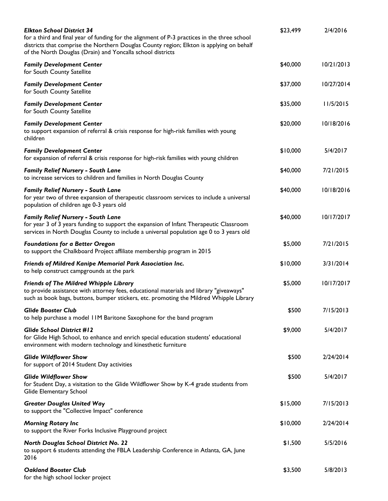| <b>Elkton School District 34</b><br>for a third and final year of funding for the alignment of P-3 practices in the three school<br>districts that comprise the Northern Douglas County region; Elkton is applying on behalf<br>of the North Douglas (Drain) and Yoncalla school districts | \$23,499 | 2/4/2016   |
|--------------------------------------------------------------------------------------------------------------------------------------------------------------------------------------------------------------------------------------------------------------------------------------------|----------|------------|
| <b>Family Development Center</b><br>for South County Satellite                                                                                                                                                                                                                             | \$40,000 | 10/21/2013 |
| <b>Family Development Center</b><br>for South County Satellite                                                                                                                                                                                                                             | \$37,000 | 10/27/2014 |
| <b>Family Development Center</b><br>for South County Satellite                                                                                                                                                                                                                             | \$35,000 | 11/5/2015  |
| <b>Family Development Center</b><br>to support expansion of referral & crisis response for high-risk families with young<br>children                                                                                                                                                       | \$20,000 | 10/18/2016 |
| <b>Family Development Center</b><br>for expansion of referral & crisis response for high-risk families with young children                                                                                                                                                                 | \$10,000 | 5/4/2017   |
| <b>Family Relief Nursery - South Lane</b><br>to increase services to children and families in North Douglas County                                                                                                                                                                         | \$40,000 | 7/21/2015  |
| <b>Family Relief Nursery - South Lane</b><br>for year two of three expansion of therapeutic classroom services to include a universal<br>population of children age 0-3 years old                                                                                                          | \$40,000 | 10/18/2016 |
| <b>Family Relief Nursery - South Lane</b><br>for year 3 of 3 years funding to support the expansion of Infant Therapeutic Classroom<br>services in North Douglas County to include a universal population age 0 to 3 years old                                                             | \$40,000 | 10/17/2017 |
| <b>Foundations for a Better Oregon</b><br>to support the Chalkboard Project affiliate membership program in 2015                                                                                                                                                                           | \$5,000  | 7/21/2015  |
| Friends of Mildred Kanipe Memorial Park Association Inc.<br>to help construct campgrounds at the park                                                                                                                                                                                      | \$10,000 | 3/31/2014  |
| Friends of The Mildred Whipple Library<br>to provide assistance with attorney fees, educational materials and library "giveaways"<br>such as book bags, buttons, bumper stickers, etc. promoting the Mildred Whipple Library                                                               | \$5,000  | 10/17/2017 |
| <b>Glide Booster Club</b><br>to help purchase a model IIM Baritone Saxophone for the band program                                                                                                                                                                                          | \$500    | 7/15/2013  |
| <b>Glide School District #12</b><br>for Glide High School, to enhance and enrich special education students' educational<br>environment with modern technology and kinesthetic furniture                                                                                                   | \$9,000  | 5/4/2017   |
| <b>Glide Wildflower Show</b><br>for support of 2014 Student Day activities                                                                                                                                                                                                                 | \$500    | 2/24/2014  |
| <b>Glide Wildflower Show</b><br>for Student Day, a visitation to the Glide Wildflower Show by K-4 grade students from<br>Glide Elementary School                                                                                                                                           | \$500    | 5/4/2017   |
| <b>Greater Douglas United Way</b><br>to support the "Collective Impact" conference                                                                                                                                                                                                         | \$15,000 | 7/15/2013  |
| <b>Morning Rotary Inc</b><br>to support the River Forks Inclusive Playground project                                                                                                                                                                                                       | \$10,000 | 2/24/2014  |
| <b>North Douglas School District No. 22</b><br>to support 6 students attending the FBLA Leadership Conference in Atlanta, GA, June<br>2016                                                                                                                                                 | \$1,500  | 5/5/2016   |
| <b>Oakland Booster Club</b><br>for the high school locker project                                                                                                                                                                                                                          | \$3,500  | 5/8/2013   |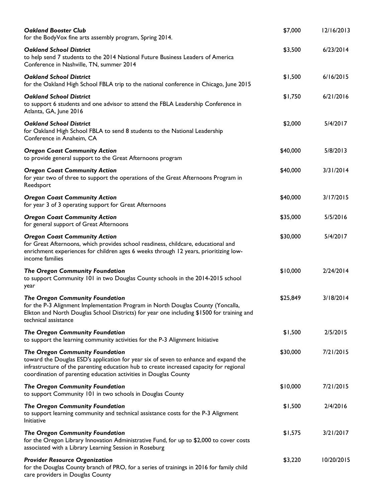| <b>Oakland Booster Club</b><br>for the BodyVox fine arts assembly program, Spring 2014.                                                                                                                                                                                                | \$7,000  | 12/16/2013 |
|----------------------------------------------------------------------------------------------------------------------------------------------------------------------------------------------------------------------------------------------------------------------------------------|----------|------------|
| <b>Oakland School District</b><br>to help send 7 students to the 2014 National Future Business Leaders of America<br>Conference in Nashville, TN, summer 2014                                                                                                                          | \$3,500  | 6/23/2014  |
| <b>Oakland School District</b><br>for the Oakland High School FBLA trip to the national conference in Chicago, June 2015                                                                                                                                                               | \$1,500  | 6/16/2015  |
| <b>Oakland School District</b><br>to support 6 students and one advisor to attend the FBLA Leadership Conference in<br>Atlanta, GA, June 2016                                                                                                                                          | \$1,750  | 6/21/2016  |
| <b>Oakland School District</b><br>for Oakland High School FBLA to send 8 students to the National Leadership<br>Conference in Anaheim, CA                                                                                                                                              | \$2,000  | 5/4/2017   |
| <b>Oregon Coast Community Action</b><br>to provide general support to the Great Afternoons program                                                                                                                                                                                     | \$40,000 | 5/8/2013   |
| <b>Oregon Coast Community Action</b><br>for year two of three to support the operations of the Great Afternoons Program in<br>Reedsport                                                                                                                                                | \$40,000 | 3/31/2014  |
| <b>Oregon Coast Community Action</b><br>for year 3 of 3 operating support for Great Afternoons                                                                                                                                                                                         | \$40,000 | 3/17/2015  |
| <b>Oregon Coast Community Action</b><br>for general support of Great Afternoons                                                                                                                                                                                                        | \$35,000 | 5/5/2016   |
| <b>Oregon Coast Community Action</b><br>for Great Afternoons, which provides school readiness, childcare, educational and<br>enrichment experiences for children ages 6 weeks through 12 years, prioritizing low-<br>income families                                                   | \$30,000 | 5/4/2017   |
| <b>The Oregon Community Foundation</b><br>to support Community 101 in two Douglas County schools in the 2014-2015 school<br>year                                                                                                                                                       | \$10,000 | 2/24/2014  |
| <b>The Oregon Community Foundation</b><br>for the P-3 Alignment Implementation Program in North Douglas County (Yoncalla,<br>Elkton and North Douglas School Districts) for year one including \$1500 for training and<br>technical assistance                                         | \$25,849 | 3/18/2014  |
| The Oregon Community Foundation<br>to support the learning community activities for the P-3 Alignment Initiative                                                                                                                                                                       | \$1,500  | 2/5/2015   |
| The Oregon Community Foundation<br>toward the Douglas ESD's application for year six of seven to enhance and expand the<br>infrastructure of the parenting education hub to create increased capacity for regional<br>coordination of parenting education activities in Douglas County | \$30,000 | 7/21/2015  |
| The Oregon Community Foundation<br>to support Community 101 in two schools in Douglas County                                                                                                                                                                                           | \$10,000 | 7/21/2015  |
| The Oregon Community Foundation<br>to support learning community and technical assistance costs for the P-3 Alignment<br>Initiative                                                                                                                                                    | \$1,500  | 2/4/2016   |
| The Oregon Community Foundation<br>for the Oregon Library Innovation Administrative Fund, for up to \$2,000 to cover costs<br>associated with a Library Learning Session in Roseburg                                                                                                   | \$1,575  | 3/21/2017  |
| <b>Provider Resource Organization</b><br>for the Douglas County branch of PRO, for a series of trainings in 2016 for family child<br>care providers in Douglas County                                                                                                                  | \$3,220  | 10/20/2015 |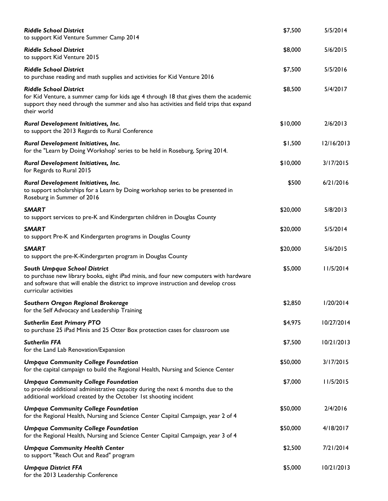| <b>Riddle School District</b><br>to support Kid Venture Summer Camp 2014                                                                                                                                                                     | \$7,500  | 5/5/2014   |
|----------------------------------------------------------------------------------------------------------------------------------------------------------------------------------------------------------------------------------------------|----------|------------|
| <b>Riddle School District</b><br>to support Kid Venture 2015                                                                                                                                                                                 | \$8,000  | 5/6/2015   |
| <b>Riddle School District</b><br>to purchase reading and math supplies and activities for Kid Venture 2016                                                                                                                                   | \$7,500  | 5/5/2016   |
| <b>Riddle School District</b><br>for Kid Venture, a summer camp for kids age 4 through 18 that gives them the academic<br>support they need through the summer and also has activities and field trips that expand<br>their world            | \$8,500  | 5/4/2017   |
| Rural Development Initiatives, Inc.<br>to support the 2013 Regards to Rural Conference                                                                                                                                                       | \$10,000 | 2/6/2013   |
| Rural Development Initiatives, Inc.<br>for the "Learn by Doing Workshop' series to be held in Roseburg, Spring 2014.                                                                                                                         | \$1,500  | 12/16/2013 |
| Rural Development Initiatives, Inc.<br>for Regards to Rural 2015                                                                                                                                                                             | \$10,000 | 3/17/2015  |
| Rural Development Initiatives, Inc.<br>to support scholarships for a Learn by Doing workshop series to be presented in<br>Roseburg in Summer of 2016                                                                                         | \$500    | 6/21/2016  |
| <b>SMART</b><br>to support services to pre-K and Kindergarten children in Douglas County                                                                                                                                                     | \$20,000 | 5/8/2013   |
| <b>SMART</b><br>to support Pre-K and Kindergarten programs in Douglas County                                                                                                                                                                 | \$20,000 | 5/5/2014   |
| <b>SMART</b><br>to support the pre-K-Kindergarten program in Douglas County                                                                                                                                                                  | \$20,000 | 5/6/2015   |
| <b>South Umpqua School District</b><br>to purchase new library books, eight iPad minis, and four new computers with hardware<br>and software that will enable the district to improve instruction and develop cross<br>curricular activities | \$5,000  | 11/5/2014  |
| Southern Oregon Regional Brokerage<br>for the Self Advocacy and Leadership Training                                                                                                                                                          | \$2,850  | 1/20/2014  |
| <b>Sutherlin East Primary PTO</b><br>to purchase 25 iPad Minis and 25 Otter Box protection cases for classroom use                                                                                                                           | \$4,975  | 10/27/2014 |
| <b>Sutherlin FFA</b><br>for the Land Lab Renovation/Expansion                                                                                                                                                                                | \$7,500  | 10/21/2013 |
| <b>Umpqua Community College Foundation</b><br>for the capital campaign to build the Regional Health, Nursing and Science Center                                                                                                              | \$50,000 | 3/17/2015  |
| <b>Umpqua Community College Foundation</b><br>to provide additional administrative capacity during the next 6 months due to the<br>additional workload created by the October 1st shooting incident                                          | \$7,000  | 11/5/2015  |
| <b>Umpqua Community College Foundation</b><br>for the Regional Health, Nursing and Science Center Capital Campaign, year 2 of 4                                                                                                              | \$50,000 | 2/4/2016   |
| <b>Umpqua Community College Foundation</b><br>for the Regional Health, Nursing and Science Center Capital Campaign, year 3 of 4                                                                                                              | \$50,000 | 4/18/2017  |
| <b>Umpqua Community Health Center</b><br>to support "Reach Out and Read" program                                                                                                                                                             | \$2,500  | 7/21/2014  |
| <b>Umpqua District FFA</b><br>for the 2013 Leadership Conference                                                                                                                                                                             | \$5,000  | 10/21/2013 |